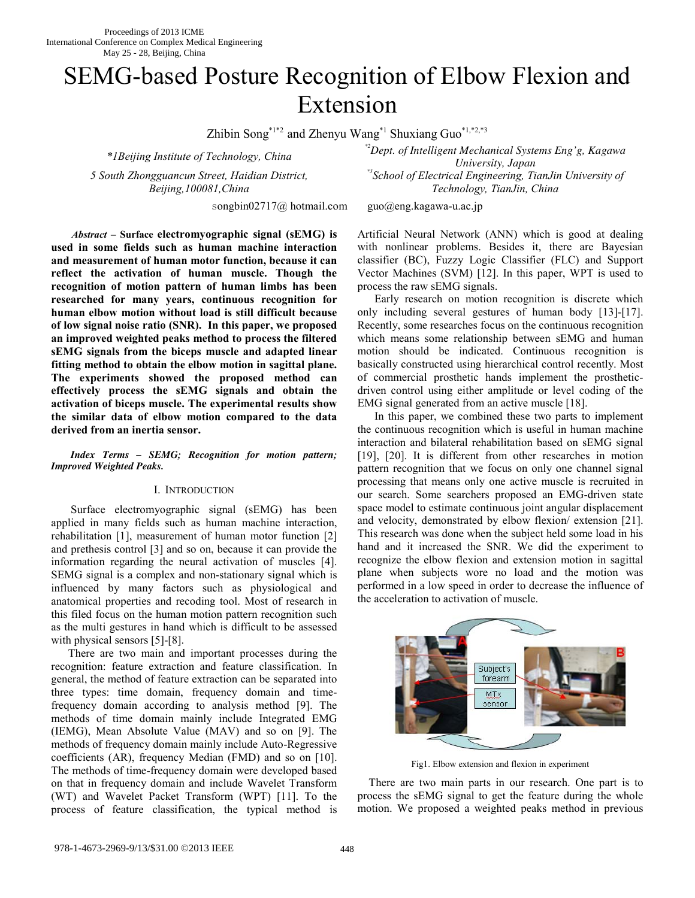# SEMG-based Posture Recognition of Elbow Flexion and Extension

Zhibin Song<sup>\*1\*2</sup> and Zhenyu Wang<sup>\*1</sup> Shuxiang Guo<sup>\*1,\*2,\*3</sup>

*\*1Beijing Institute of Technology, China 5 South Zhongguancun Street, Haidian District, Beijing,100081,China* 

songbin02717@ hotmail.com guo@eng.kagawa-u.ac.jp

*\*2Dept. of Intelligent Mechanical Systems Eng'g, Kagawa University, Japan \*3School of Electrical Engineering, TianJin University of Technology, TianJin, China* 

*Abstract* **– Surface electromyographic signal (sEMG) is used in some fields such as human machine interaction and measurement of human motor function, because it can reflect the activation of human muscle. Though the recognition of motion pattern of human limbs has been researched for many years, continuous recognition for human elbow motion without load is still difficult because of low signal noise ratio (SNR). In this paper, we proposed an improved weighted peaks method to process the filtered sEMG signals from the biceps muscle and adapted linear fitting method to obtain the elbow motion in sagittal plane. The experiments showed the proposed method can effectively process the sEMG signals and obtain the activation of biceps muscle. The experimental results show the similar data of elbow motion compared to the data derived from an inertia sensor.**

*Index Terms – SEMG; Recognition for motion pattern; Improved Weighted Peaks.* 

# I. INTRODUCTION

 Surface electromyographic signal (sEMG) has been applied in many fields such as human machine interaction, rehabilitation [1], measurement of human motor function [2] and prethesis control [3] and so on, because it can provide the information regarding the neural activation of muscles [4]. SEMG signal is a complex and non-stationary signal which is influenced by many factors such as physiological and anatomical properties and recoding tool. Most of research in this filed focus on the human motion pattern recognition such as the multi gestures in hand which is difficult to be assessed with physical sensors [5]-[8].

There are two main and important processes during the recognition: feature extraction and feature classification. In general, the method of feature extraction can be separated into three types: time domain, frequency domain and timefrequency domain according to analysis method [9]. The methods of time domain mainly include Integrated EMG (IEMG), Mean Absolute Value (MAV) and so on [9]. The methods of frequency domain mainly include Auto-Regressive coefficients (AR), frequency Median (FMD) and so on [10]. The methods of time-frequency domain were developed based on that in frequency domain and include Wavelet Transform (WT) and Wavelet Packet Transform (WPT) [11]. To the process of feature classification, the typical method is

Artificial Neural Network (ANN) which is good at dealing with nonlinear problems. Besides it, there are Bayesian classifier (BC), Fuzzy Logic Classifier (FLC) and Support Vector Machines (SVM) [12]. In this paper, WPT is used to process the raw sEMG signals.

Early research on motion recognition is discrete which only including several gestures of human body [13]-[17]. Recently, some researches focus on the continuous recognition which means some relationship between sEMG and human motion should be indicated. Continuous recognition is basically constructed using hierarchical control recently. Most of commercial prosthetic hands implement the prostheticdriven control using either amplitude or level coding of the EMG signal generated from an active muscle [18].

In this paper, we combined these two parts to implement the continuous recognition which is useful in human machine interaction and bilateral rehabilitation based on sEMG signal [19], [20]. It is different from other researches in motion pattern recognition that we focus on only one channel signal processing that means only one active muscle is recruited in our search. Some searchers proposed an EMG-driven state space model to estimate continuous joint angular displacement and velocity, demonstrated by elbow flexion/ extension [21]. This research was done when the subject held some load in his hand and it increased the SNR. We did the experiment to recognize the elbow flexion and extension motion in sagittal plane when subjects wore no load and the motion was performed in a low speed in order to decrease the influence of the acceleration to activation of muscle.



Fig1. Elbow extension and flexion in experiment

There are two main parts in our research. One part is to process the sEMG signal to get the feature during the whole motion. We proposed a weighted peaks method in previous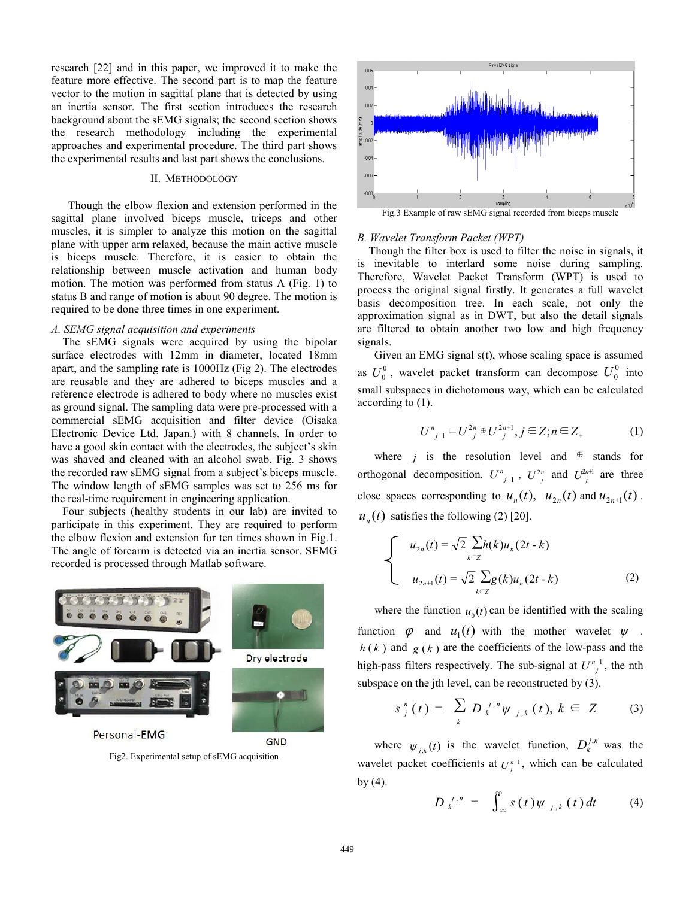research [22] and in this paper, we improved it to make the feature more effective. The second part is to map the feature vector to the motion in sagittal plane that is detected by using an inertia sensor. The first section introduces the research background about the sEMG signals; the second section shows the research methodology including the experimental approaches and experimental procedure. The third part shows the experimental results and last part shows the conclusions.

#### II. METHODOLOGY

Though the elbow flexion and extension performed in the sagittal plane involved biceps muscle, triceps and other muscles, it is simpler to analyze this motion on the sagittal plane with upper arm relaxed, because the main active muscle is biceps muscle. Therefore, it is easier to obtain the relationship between muscle activation and human body motion. The motion was performed from status A (Fig. 1) to status B and range of motion is about 90 degree. The motion is required to be done three times in one experiment.

# *A. SEMG signal acquisition and experiments*

The sEMG signals were acquired by using the bipolar surface electrodes with 12mm in diameter, located 18mm apart, and the sampling rate is 1000Hz (Fig 2). The electrodes are reusable and they are adhered to biceps muscles and a reference electrode is adhered to body where no muscles exist as ground signal. The sampling data were pre-processed with a commercial sEMG acquisition and filter device (Oisaka Electronic Device Ltd. Japan.) with 8 channels. In order to have a good skin contact with the electrodes, the subject's skin was shaved and cleaned with an alcohol swab. Fig. 3 shows the recorded raw sEMG signal from a subject's biceps muscle. The window length of sEMG samples was set to 256 ms for the real-time requirement in engineering application.

Four subjects (healthy students in our lab) are invited to participate in this experiment. They are required to perform the elbow flexion and extension for ten times shown in Fig.1. The angle of forearm is detected via an inertia sensor. SEMG recorded is processed through Matlab software.



Personal-EMG

Fig2. Experimental setup of sEMG acquisition

**GND** 



#### *B. Wavelet Transform Packet (WPT)*

Though the filter box is used to filter the noise in signals, it is inevitable to interlard some noise during sampling. Therefore, Wavelet Packet Transform (WPT) is used to process the original signal firstly. It generates a full wavelet basis decomposition tree. In each scale, not only the approximation signal as in DWT, but also the detail signals are filtered to obtain another two low and high frequency signals.

Given an EMG signal s(t), whose scaling space is assumed as  $U_0^0$ , wavelet packet transform can decompose  $U_0^0$  into small subspaces in dichotomous way, which can be calculated according to (1).

$$
U_{j-1}^n = U_{j}^{2n} \oplus U_{j}^{2n+1}, j \in \mathbb{Z}; n \in \mathbb{Z}_+ \tag{1}
$$

where *j* is the resolution level and  $oplus$  stands for orthogonal decomposition.  $U_{j+1}^n$ ,  $U_{j}^{2n}$  and  $U_{j}^{2n+1}$  are three close spaces corresponding to  $u_n(t)$ ,  $u_{2n}(t)$  and  $u_{2n+1}(t)$ .  $u_n(t)$  satisfies the following (2) [20].

$$
\begin{cases}\n u_{2n}(t) = \sqrt{2} \sum_{k \in \mathbb{Z}} h(k) u_n(2t - k) \\
u_{2n+1}(t) = \sqrt{2} \sum_{k \in \mathbb{Z}} g(k) u_n(2t - k)\n\end{cases}
$$
\n(2)

where the function  $u_0(t)$  can be identified with the scaling function  $\varphi$  and  $u_1(t)$  with the mother wavelet  $\psi$ .  $h(k)$  and  $g(k)$  are the coefficients of the low-pass and the high-pass filters respectively. The sub-signal at  $U_{i}^{n}$ , the nth subspace on the jth level, can be reconstructed by (3).

$$
s_{j}^{n}(t) = \sum_{k} D_{k}^{j,n} \psi_{j,k}(t), k \in Z \qquad (3)
$$

where  $\psi_{i,k}(t)$  is the wavelet function,  $D_k^{j,n}$  was the wavelet packet coefficients at  $U_i^{n-1}$ , which can be calculated by  $(4)$ .

$$
D_k^{\ j,n} = \int_{-\infty}^{\infty} s(t) \psi_{j,k}(t) dt \qquad (4)
$$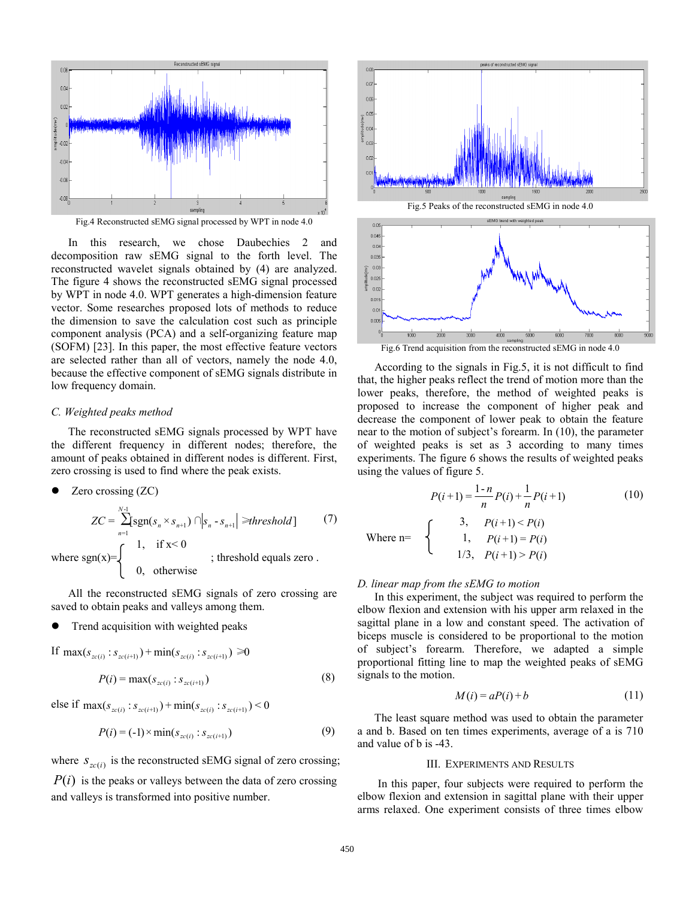

In this research, we chose Daubechies 2 and decomposition raw sEMG signal to the forth level. The reconstructed wavelet signals obtained by (4) are analyzed. The figure 4 shows the reconstructed sEMG signal processed by WPT in node 4.0. WPT generates a high-dimension feature vector. Some researches proposed lots of methods to reduce the dimension to save the calculation cost such as principle component analysis (PCA) and a self-organizing feature map (SOFM) [23]. In this paper, the most effective feature vectors are selected rather than all of vectors, namely the node 4.0, because the effective component of sEMG signals distribute in low frequency domain.

#### *C. Weighted peaks method*

The reconstructed sEMG signals processed by WPT have the different frequency in different nodes; therefore, the amount of peaks obtained in different nodes is different. First, zero crossing is used to find where the peak exists.

$$
\bullet \quad \text{Zero crossing (ZC)}
$$

$$
ZC = \sum_{n=1}^{N-1} \text{sgn}(s_n \times s_{n+1}) \cap |s_n - s_{n+1}| \geq \text{threshold}
$$
 (7)  
where sgn(x)=
$$
\begin{cases} 1, & \text{if } x < 0 \\ 0, & \text{otherwise} \end{cases}
$$
; threshold equals zero.

All the reconstructed sEMG signals of zero crossing are saved to obtain peaks and valleys among them.

Trend acquisition with weighted peaks

If 
$$
\max(s_{zc(i)} : s_{zc(i+1)}) + \min(s_{zc(i)} : s_{zc(i+1)}) \ge 0
$$
  

$$
P(i) = \max(s_{zc(i)} : s_{zc(i+1)})
$$
(8)

else if  $\max(s_{zc(i)} : s_{zc(i+1)}) + \min(s_{zc(i)} : s_{zc(i+1)})$  < 0

$$
P(i) = (-1) \times \min(s_{zc(i)} : s_{zc(i+1)})
$$
\n(9)

where  $S_{zc(i)}$  is the reconstructed sEMG signal of zero crossing;

 $P(i)$  is the peaks or valleys between the data of zero crossing and valleys is transformed into positive number.



According to the signals in Fig.5, it is not difficult to find that, the higher peaks reflect the trend of motion more than the lower peaks, therefore, the method of weighted peaks is proposed to increase the component of higher peak and decrease the component of lower peak to obtain the feature near to the motion of subject's forearm. In (10), the parameter of weighted peaks is set as 3 according to many times experiments. The figure 6 shows the results of weighted peaks using the values of figure 5.

$$
P(i+1) = \frac{1-n}{n}P(i) + \frac{1}{n}P(i+1)
$$
 (10)

 $\bigcap$  3,  $P(i+1) < P(i)$ Where  $n=$   $\uparrow$  1,  $P(i+1) = P(i)$  $1/3, P(i+1) > P(i)$ 

#### *D. linear map from the sEMG to motion*

 In this experiment, the subject was required to perform the elbow flexion and extension with his upper arm relaxed in the sagittal plane in a low and constant speed. The activation of biceps muscle is considered to be proportional to the motion of subject's forearm. Therefore, we adapted a simple proportional fitting line to map the weighted peaks of sEMG signals to the motion.

$$
M(i) = aP(i) + b \tag{11}
$$

The least square method was used to obtain the parameter a and b. Based on ten times experiments, average of a is 710 and value of b is -43.

### III. EXPERIMENTS AND RESULTS

 In this paper, four subjects were required to perform the elbow flexion and extension in sagittal plane with their upper arms relaxed. One experiment consists of three times elbow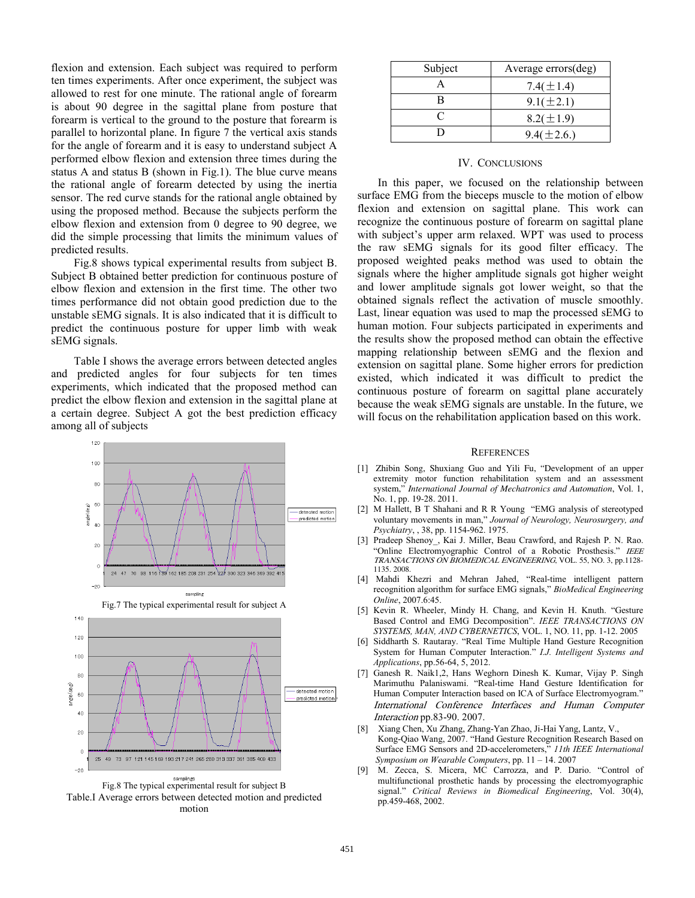flexion and extension. Each subject was required to perform ten times experiments. After once experiment, the subject was allowed to rest for one minute. The rational angle of forearm is about 90 degree in the sagittal plane from posture that forearm is vertical to the ground to the posture that forearm is parallel to horizontal plane. In figure 7 the vertical axis stands for the angle of forearm and it is easy to understand subject A performed elbow flexion and extension three times during the status A and status B (shown in Fig.1). The blue curve means the rational angle of forearm detected by using the inertia sensor. The red curve stands for the rational angle obtained by using the proposed method. Because the subjects perform the elbow flexion and extension from 0 degree to 90 degree, we did the simple processing that limits the minimum values of predicted results.

Fig.8 shows typical experimental results from subject B. Subject B obtained better prediction for continuous posture of elbow flexion and extension in the first time. The other two times performance did not obtain good prediction due to the unstable sEMG signals. It is also indicated that it is difficult to predict the continuous posture for upper limb with weak sEMG signals.

Table I shows the average errors between detected angles and predicted angles for four subjects for ten times experiments, which indicated that the proposed method can predict the elbow flexion and extension in the sagittal plane at a certain degree. Subject A got the best prediction efficacy among all of subjects



Fig.8 The typical experimental result for subject B Table.I Average errors between detected motion and predicted motion

| Subject | Average errors(deg) |
|---------|---------------------|
|         | 7.4( $\pm$ 1.4)     |
| R       | $9.1 (\pm 2.1)$     |
|         | $8.2(\pm 1.9)$      |
|         | $9.4(\pm 2.6.)$     |

# IV. CONCLUSIONS

 In this paper, we focused on the relationship between surface EMG from the bieceps muscle to the motion of elbow flexion and extension on sagittal plane. This work can recognize the continuous posture of forearm on sagittal plane with subject's upper arm relaxed. WPT was used to process the raw sEMG signals for its good filter efficacy. The proposed weighted peaks method was used to obtain the signals where the higher amplitude signals got higher weight and lower amplitude signals got lower weight, so that the obtained signals reflect the activation of muscle smoothly. Last, linear equation was used to map the processed sEMG to human motion. Four subjects participated in experiments and the results show the proposed method can obtain the effective mapping relationship between sEMG and the flexion and extension on sagittal plane. Some higher errors for prediction existed, which indicated it was difficult to predict the continuous posture of forearm on sagittal plane accurately because the weak sEMG signals are unstable. In the future, we will focus on the rehabilitation application based on this work.

#### **REFERENCES**

- [1] Zhibin Song, Shuxiang Guo and Yili Fu, "Development of an upper extremity motor function rehabilitation system and an assessment system," *International Journal of Mechatronics and Automation*, Vol. 1, No. 1, pp. 19-28. 2011.
- [2] M Hallett, B T Shahani and R R Young "EMG analysis of stereotyped voluntary movements in man," *Journal of Neurology, Neurosurgery, and Psychiatry*, , 38, pp. 1154-962. 1975.
- [3] Pradeep Shenoy\_, Kai J. Miller, Beau Crawford, and Rajesh P. N. Rao. "Online Electromyographic Control of a Robotic Prosthesis." IEEE TRANSACTIONS ON BIOMEDICAL ENGINEERING, VOL. 55, NO. 3, pp.1128- 1135. 2008.
- [4] Mahdi Khezri and Mehran Jahed, "Real-time intelligent pattern recognition algorithm for surface EMG signals," *BioMedical Engineering Online*, 2007.6:45.
- [5] Kevin R. Wheeler, Mindy H. Chang, and Kevin H. Knuth. "Gesture Based Control and EMG Decomposition". *IEEE TRANSACTIONS ON SYSTEMS, MAN, AND CYBERNETICS*, VOL. 1, NO. 11, pp. 1-12. 2005
- [6] Siddharth S. Rautaray. "Real Time Multiple Hand Gesture Recognition System for Human Computer Interaction." *I.J. Intelligent Systems and Applications*, pp.56-64, 5, 2012.
- [7] Ganesh R. Naik1,2, Hans Weghorn Dinesh K. Kumar, Vijay P. Singh Marimuthu Palaniswami. "Real-time Hand Gesture Identification for Human Computer Interaction based on ICA of Surface Electromyogram." International Conference Interfaces and Human Computer Interaction pp.83-90. 2007.
- [8] Xiang Chen, Xu Zhang, Zhang-Yan Zhao, Ji-Hai Yang, Lantz, V., Kong-Qiao Wang, 2007. "Hand Gesture Recognition Research Based on Surface EMG Sensors and 2D-accelerometers," *11th IEEE International Symposium on Wearable Computers*, pp. 11 – 14. 2007
- [9] M. Zecca, S. Micera, MC Carrozza, and P. Dario. "Control of multifunctional prosthetic hands by processing the electromyographic signal." *Critical Reviews in Biomedical Engineering*, Vol. 30(4), pp.459-468, 2002.